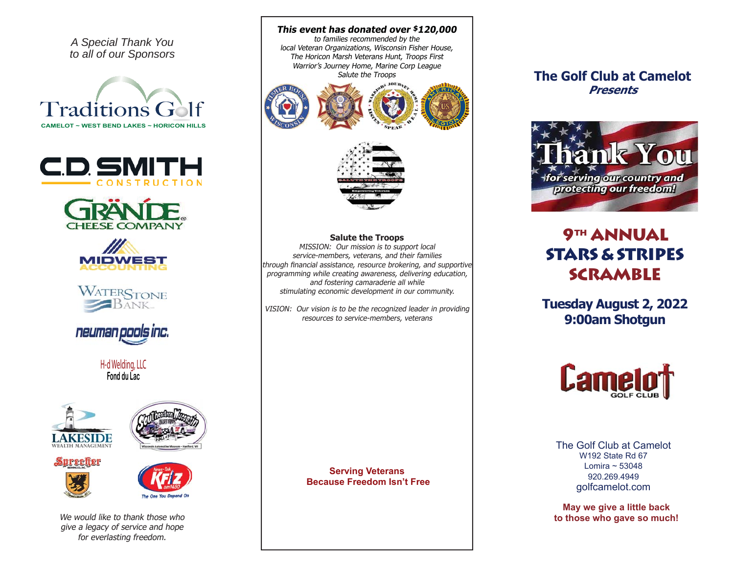*A Special Thank You to all of our Sponsors*













H-d Welding, LLC **Fond du Lac**





# Surceller





We would like to thank those who give a legacy of service and hope for everlasting freedom.

**This event has donated over \$120,000** to families recommended by the local Veteran Organizations, Wisconsin Fisher House, The Horicon Marsh Veterans Hunt, Troops First Warrior's Journey Home, Marine Corp League Salute the Troops





#### **Salute the Troops**

MISSION: Our mission is to support local service-members, veterans, and their families through financial assistance, resource brokering, and supportive programming while creating awareness, delivering education, and fostering camaraderie all while stimulating economic development in our community.

VISION: Our vision is to be the recognized leader in providing resources to service-members, veterans

> **Serving Veterans Because Freedom Isn't Free**

### **The Golf Club at CamelotPresents**



## **9TH ANNUAL STARS & STRIPES SCRAMBLE**

**Tuesday August 2, 2022 9:00am Shotgun**



The Golf Club at CamelotW192 State Rd 67Lomira ~ 53048920.269.4949golfcamelot.com

**May we give a little back to those who gave so much!**